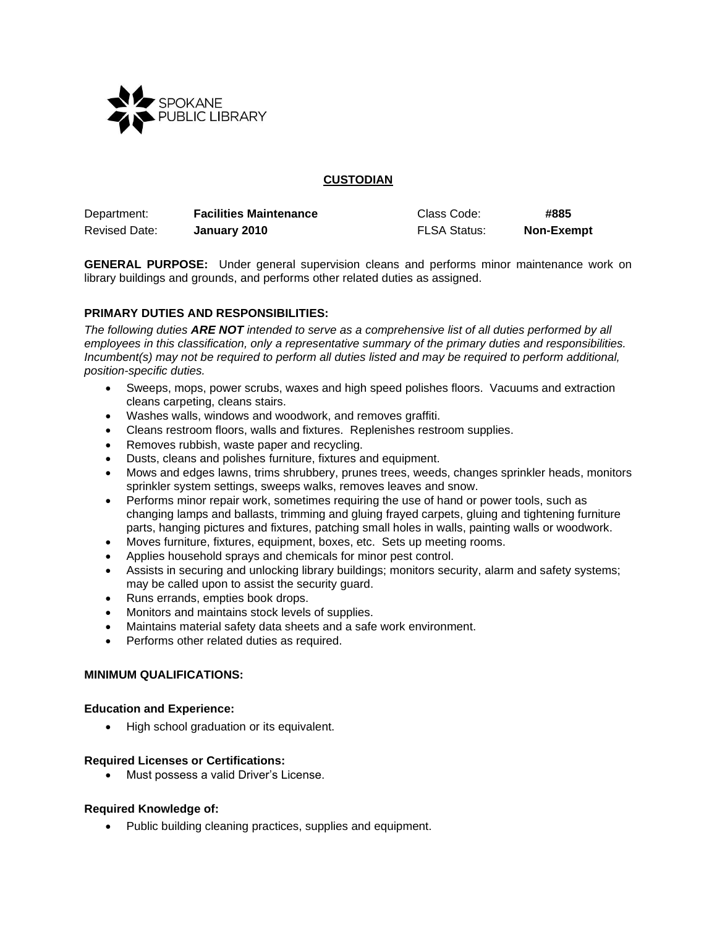

## **CUSTODIAN**

| Department:          | <b>Facilities Maintenance</b> | Class Code:         | #885              |
|----------------------|-------------------------------|---------------------|-------------------|
| <b>Revised Date:</b> | January 2010                  | <b>FLSA Status:</b> | <b>Non-Exempt</b> |

**GENERAL PURPOSE:** Under general supervision cleans and performs minor maintenance work on library buildings and grounds, and performs other related duties as assigned.

# **PRIMARY DUTIES AND RESPONSIBILITIES:**

*The following duties ARE NOT intended to serve as a comprehensive list of all duties performed by all employees in this classification, only a representative summary of the primary duties and responsibilities. Incumbent(s) may not be required to perform all duties listed and may be required to perform additional, position-specific duties.*

- Sweeps, mops, power scrubs, waxes and high speed polishes floors. Vacuums and extraction cleans carpeting, cleans stairs.
- Washes walls, windows and woodwork, and removes graffiti.
- Cleans restroom floors, walls and fixtures. Replenishes restroom supplies.
- Removes rubbish, waste paper and recycling.
- Dusts, cleans and polishes furniture, fixtures and equipment.
- Mows and edges lawns, trims shrubbery, prunes trees, weeds, changes sprinkler heads, monitors sprinkler system settings, sweeps walks, removes leaves and snow.
- Performs minor repair work, sometimes requiring the use of hand or power tools, such as changing lamps and ballasts, trimming and gluing frayed carpets, gluing and tightening furniture parts, hanging pictures and fixtures, patching small holes in walls, painting walls or woodwork.
- Moves furniture, fixtures, equipment, boxes, etc. Sets up meeting rooms.
- Applies household sprays and chemicals for minor pest control.
- Assists in securing and unlocking library buildings; monitors security, alarm and safety systems; may be called upon to assist the security guard.
- Runs errands, empties book drops.
- Monitors and maintains stock levels of supplies.
- Maintains material safety data sheets and a safe work environment.
- Performs other related duties as required.

### **MINIMUM QUALIFICATIONS:**

### **Education and Experience:**

• High school graduation or its equivalent.

### **Required Licenses or Certifications:**

• Must possess a valid Driver's License.

### **Required Knowledge of:**

• Public building cleaning practices, supplies and equipment.